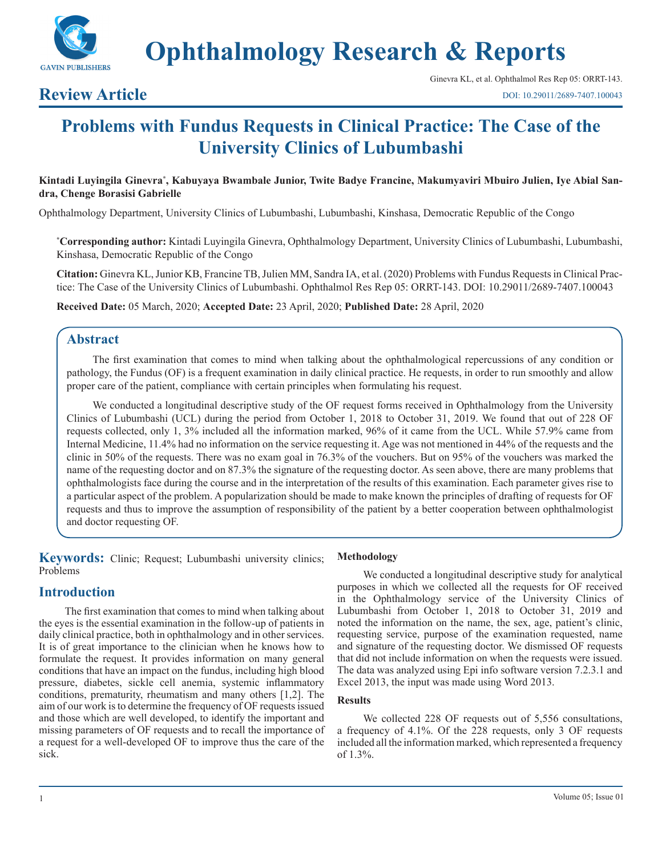

**Ophthalmology Research & Reports**

## **Review Article**

# **Problems with Fundus Requests in Clinical Practice: The Case of the University Clinics of Lubumbashi**

Kintadi Luyingila Ginevra\*, Kabuyaya Bwambale Junior, Twite Badye Francine, Makumyaviri Mbuiro Julien, Iye Abial San**dra, Chenge Borasisi Gabrielle**

Ophthalmology Department, University Clinics of Lubumbashi, Lubumbashi, Kinshasa, Democratic Republic of the Congo

**\* Corresponding author:** Kintadi Luyingila Ginevra, Ophthalmology Department, University Clinics of Lubumbashi, Lubumbashi, Kinshasa, Democratic Republic of the Congo

**Citation:** Ginevra KL, Junior KB, Francine TB, Julien MM, Sandra IA, et al. (2020) Problems with Fundus Requests in Clinical Practice: The Case of the University Clinics of Lubumbashi. Ophthalmol Res Rep 05: ORRT-143. DOI: 10.29011/2689-7407.100043

**Received Date:** 05 March, 2020; **Accepted Date:** 23 April, 2020; **Published Date:** 28 April, 2020

### **Abstract**

The first examination that comes to mind when talking about the ophthalmological repercussions of any condition or pathology, the Fundus (OF) is a frequent examination in daily clinical practice. He requests, in order to run smoothly and allow proper care of the patient, compliance with certain principles when formulating his request.

We conducted a longitudinal descriptive study of the OF request forms received in Ophthalmology from the University Clinics of Lubumbashi (UCL) during the period from October 1, 2018 to October 31, 2019. We found that out of 228 OF requests collected, only 1, 3% included all the information marked, 96% of it came from the UCL. While 57.9% came from Internal Medicine, 11.4% had no information on the service requesting it. Age was not mentioned in 44% of the requests and the clinic in 50% of the requests. There was no exam goal in 76.3% of the vouchers. But on 95% of the vouchers was marked the name of the requesting doctor and on 87.3% the signature of the requesting doctor. As seen above, there are many problems that ophthalmologists face during the course and in the interpretation of the results of this examination. Each parameter gives rise to a particular aspect of the problem. A popularization should be made to make known the principles of drafting of requests for OF requests and thus to improve the assumption of responsibility of the patient by a better cooperation between ophthalmologist and doctor requesting OF.

**Keywords:** Clinic; Request; Lubumbashi university clinics; Problems

### **Introduction**

The first examination that comes to mind when talking about the eyes is the essential examination in the follow-up of patients in daily clinical practice, both in ophthalmology and in other services. It is of great importance to the clinician when he knows how to formulate the request. It provides information on many general conditions that have an impact on the fundus, including high blood pressure, diabetes, sickle cell anemia, systemic inflammatory conditions, prematurity, rheumatism and many others [1,2]. The aim of our work is to determine the frequency of OF requests issued and those which are well developed, to identify the important and missing parameters of OF requests and to recall the importance of a request for a well-developed OF to improve thus the care of the sick.

#### **Methodology**

We conducted a longitudinal descriptive study for analytical purposes in which we collected all the requests for OF received in the Ophthalmology service of the University Clinics of Lubumbashi from October 1, 2018 to October 31, 2019 and noted the information on the name, the sex, age, patient's clinic, requesting service, purpose of the examination requested, name and signature of the requesting doctor. We dismissed OF requests that did not include information on when the requests were issued. The data was analyzed using Epi info software version 7.2.3.1 and Excel 2013, the input was made using Word 2013.

### **Results**

We collected 228 OF requests out of 5,556 consultations, a frequency of 4.1%. Of the 228 requests, only 3 OF requests included all the information marked, which represented a frequency of 1.3%.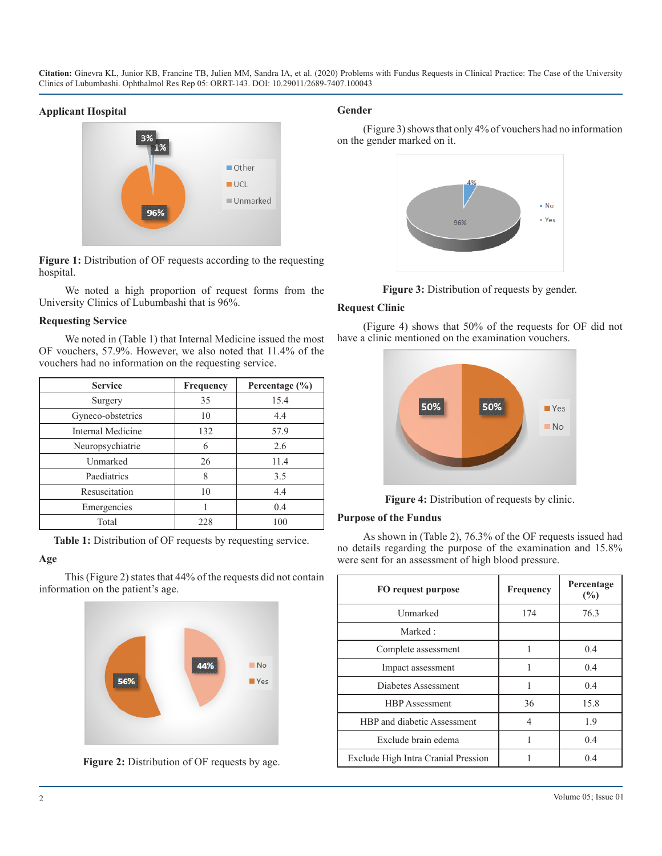**Citation:** Ginevra KL, Junior KB, Francine TB, Julien MM, Sandra IA, et al. (2020) Problems with Fundus Requests in Clinical Practice: The Case of the University Clinics of Lubumbashi. Ophthalmol Res Rep 05: ORRT-143. DOI: 10.29011/2689-7407.100043

### **Applicant Hospital**



**Figure 1:** Distribution of OF requests according to the requesting hospital.

We noted a high proportion of request forms from the University Clinics of Lubumbashi that is 96%.

### **Requesting Service**

We noted in (Table 1) that Internal Medicine issued the most OF vouchers, 57.9%. However, we also noted that 11.4% of the vouchers had no information on the requesting service.

| <b>Service</b>    | <b>Frequency</b> | Percentage $(\% )$ |
|-------------------|------------------|--------------------|
| Surgery           | 35               | 15.4               |
| Gyneco-obstetrics | 10               | 4.4                |
| Internal Medicine | 132              | 57.9               |
| Neuropsychiatrie  | 6                | 2.6                |
| Unmarked          | 26               | 11.4               |
| Paediatrics       | 8                | 3.5                |
| Resuscitation     | 10               | 4.4                |
| Emergencies       |                  | 0.4                |
| Total             | 228              | 100                |

**Table 1:** Distribution of OF requests by requesting service.

### **Age**

This (Figure 2) states that 44% of the requests did not contain information on the patient's age.





### **Gender**

(Figure 3) shows that only 4% of vouchers had no information on the gender marked on it.





### **Request Clinic**

(Figure 4) shows that 50% of the requests for OF did not have a clinic mentioned on the examination vouchers.



**Figure 4:** Distribution of requests by clinic.

### **Purpose of the Fundus**

As shown in (Table 2), 76.3% of the OF requests issued had no details regarding the purpose of the examination and 15.8% were sent for an assessment of high blood pressure.

| FO request purpose                  | <b>Frequency</b> | Percentage<br>(%) |
|-------------------------------------|------------------|-------------------|
| Unmarked                            | 174              | 76.3              |
| Marked:                             |                  |                   |
| Complete assessment                 |                  | 0.4               |
| Impact assessment                   |                  | 0.4               |
| Diabetes Assessment                 |                  | 0.4               |
| <b>HBP</b> Assessment               | 36               | 15.8              |
| HBP and diabetic Assessment         | 4                | 1.9               |
| Exclude brain edema                 |                  | 0.4               |
| Exclude High Intra Cranial Pression |                  | 0.4               |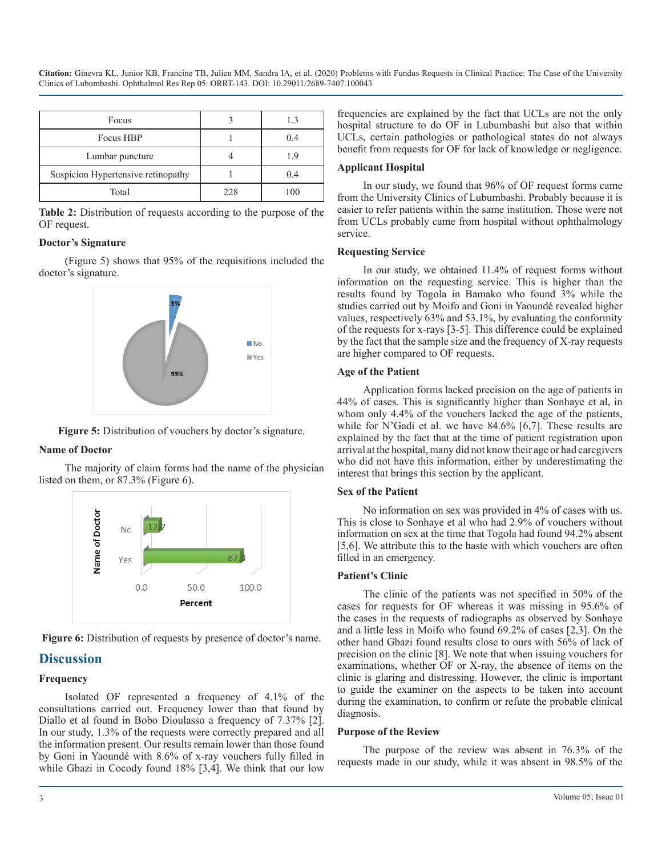**Citation:** Ginevra KL, Junior KB, Francine TB, Julien MM, Sandra IA, et al. (2020) Problems with Fundus Requests in Clinical Practice: The Case of the University Clinics of Lubumbashi. Ophthalmol Res Rep 05: ORRT-143. DOI: 10.29011/2689-7407.100043

| Focus                              |     | 13  |
|------------------------------------|-----|-----|
| Focus HBP                          |     | 0.4 |
| Lumbar puncture                    |     |     |
| Suspicion Hypertensive retinopathy |     | 0.4 |
| Total                              | 228 | 100 |

**Table 2:** Distribution of requests according to the purpose of the OF request.

### **Doctor's Signature**

(Figure 5) shows that 95% of the requisitions included the doctor's signature.



**Figure 5:** Distribution of vouchers by doctor's signature.

#### **Name of Doctor**

The majority of claim forms had the name of the physician listed on them, or 87.3% (Figure 6).



**Figure 6:** Distribution of requests by presence of doctor's name.

### **Discussion**

### **Frequency**

Isolated OF represented a frequency of 4.1% of the consultations carried out. Frequency lower than that found by Diallo et al found in Bobo Dioulasso a frequency of 7.37% [2]. In our study, 1.3% of the requests were correctly prepared and all the information present. Our results remain lower than those found by Goni in Yaoundé with 8.6% of x-ray vouchers fully filled in while Gbazi in Cocody found 18% [3,4]. We think that our low frequencies are explained by the fact that UCLs are not the only hospital structure to do OF in Lubumbashi but also that within UCLs, certain pathologies or pathological states do not always benefit from requests for OF for lack of knowledge or negligence.

#### **Applicant Hospital**

In our study, we found that 96% of OF request forms came from the University Clinics of Lubumbashi. Probably because it is easier to refer patients within the same institution. Those were not from UCLs probably came from hospital without ophthalmology service.

#### **Requesting Service**

In our study, we obtained 11.4% of request forms without information on the requesting service. This is higher than the results found by Togola in Bamako who found 3% while the studies carried out by Moifo and Goni in Yaoundé revealed higher values, respectively 63% and 53.1%, by evaluating the conformity of the requests for x-rays [3-5]. This difference could be explained by the fact that the sample size and the frequency of X-ray requests are higher compared to OF requests.

#### **Age of the Patient**

Application forms lacked precision on the age of patients in 44% of cases. This is significantly higher than Sonhaye et al, in whom only 4.4% of the vouchers lacked the age of the patients, while for N'Gadi et al. we have 84.6% [6,7]. These results are explained by the fact that at the time of patient registration upon arrival at the hospital, many did not know their age or had caregivers who did not have this information, either by underestimating the interest that brings this section by the applicant.

#### **Sex of the Patient**

No information on sex was provided in 4% of cases with us. This is close to Sonhaye et al who had 2.9% of vouchers without information on sex at the time that Togola had found 94.2% absent [5,6]. We attribute this to the haste with which vouchers are often filled in an emergency.

#### **Patient's Clinic**

The clinic of the patients was not specified in 50% of the cases for requests for OF whereas it was missing in 95.6% of the cases in the requests of radiographs as observed by Sonhaye and a little less in Moifo who found 69.2% of cases [2,3]. On the other hand Gbazi found results close to ours with 56% of lack of precision on the clinic [8]. We note that when issuing vouchers for examinations, whether OF or X-ray, the absence of items on the clinic is glaring and distressing. However, the clinic is important to guide the examiner on the aspects to be taken into account during the examination, to confirm or refute the probable clinical diagnosis.

#### **Purpose of the Review**

The purpose of the review was absent in 76.3% of the requests made in our study, while it was absent in 98.5% of the